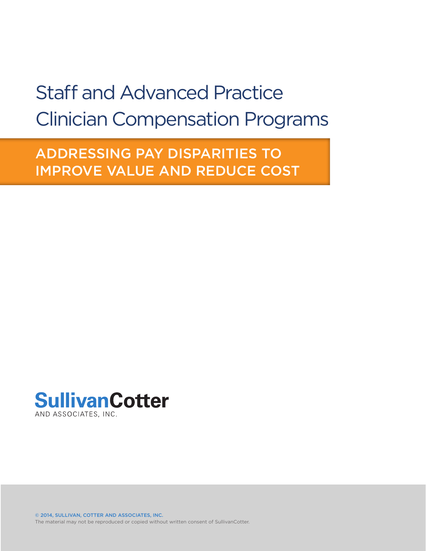## Staff and Advanced Practice Clinician Compensation Programs

ADDRESSING PAY DISPARITIES TO IMPROVE VALUE AND REDUCE COST



The material may not be reproduced or copied without written consent of SullivanCotter. © 2014, SULLIVAN, COTTER AND ASSOCIATES, INC.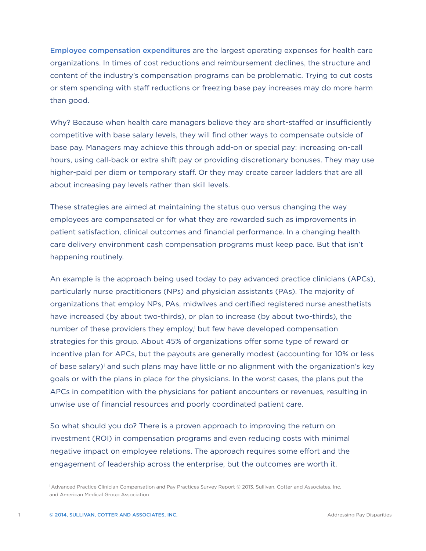Employee compensation expenditures are the largest operating expenses for health care organizations. In times of cost reductions and reimbursement declines, the structure and content of the industry's compensation programs can be problematic. Trying to cut costs or stem spending with staff reductions or freezing base pay increases may do more harm than good.

Why? Because when health care managers believe they are short-staffed or insufficiently competitive with base salary levels, they will find other ways to compensate outside of base pay. Managers may achieve this through add-on or special pay: increasing on-call hours, using call-back or extra shift pay or providing discretionary bonuses. They may use higher-paid per diem or temporary staff. Or they may create career ladders that are all about increasing pay levels rather than skill levels.

These strategies are aimed at maintaining the status quo versus changing the way employees are compensated or for what they are rewarded such as improvements in patient satisfaction, clinical outcomes and financial performance. In a changing health care delivery environment cash compensation programs must keep pace. But that isn't happening routinely.

An example is the approach being used today to pay advanced practice clinicians (APCs), particularly nurse practitioners (NPs) and physician assistants (PAs). The majority of organizations that employ NPs, PAs, midwives and certified registered nurse anesthetists have increased (by about two-thirds), or plan to increase (by about two-thirds), the number of these providers they employ,<sup>1</sup> but few have developed compensation strategies for this group. About 45% of organizations offer some type of reward or incentive plan for APCs, but the payouts are generally modest (accounting for 10% or less of base salary)<sup>1</sup> and such plans may have little or no alignment with the organization's key goals or with the plans in place for the physicians. In the worst cases, the plans put the APCs in competition with the physicians for patient encounters or revenues, resulting in unwise use of financial resources and poorly coordinated patient care.

So what should you do? There is a proven approach to improving the return on investment (ROI) in compensation programs and even reducing costs with minimal negative impact on employee relations. The approach requires some effort and the engagement of leadership across the enterprise, but the outcomes are worth it.

1 Advanced Practice Clinician Compensation and Pay Practices Survey Report © 2013, Sullivan, Cotter and Associates, Inc. and American Medical Group Association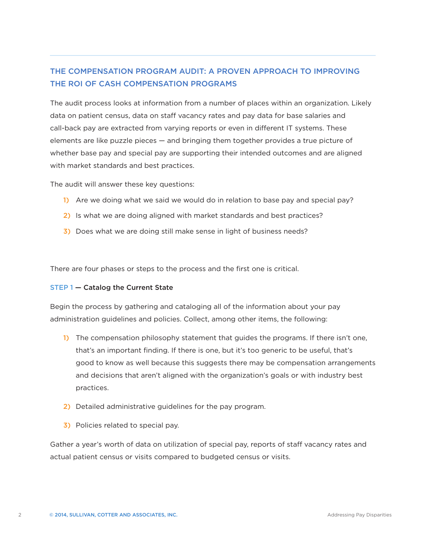### THE COMPENSATION PROGRAM AUDIT: A PROVEN APPROACH TO IMPROVING THE ROI OF CASH COMPENSATION PROGRAMS

The audit process looks at information from a number of places within an organization. Likely data on patient census, data on staff vacancy rates and pay data for base salaries and call-back pay are extracted from varying reports or even in different IT systems. These elements are like puzzle pieces — and bringing them together provides a true picture of whether base pay and special pay are supporting their intended outcomes and are aligned with market standards and best practices.

The audit will answer these key questions:

- 1) Are we doing what we said we would do in relation to base pay and special pay?
- 2) Is what we are doing aligned with market standards and best practices?
- 3) Does what we are doing still make sense in light of business needs?

There are four phases or steps to the process and the first one is critical.

#### STEP 1 — Catalog the Current State

Begin the process by gathering and cataloging all of the information about your pay administration guidelines and policies. Collect, among other items, the following:

- 1) The compensation philosophy statement that guides the programs. If there isn't one, that's an important finding. If there is one, but it's too generic to be useful, that's good to know as well because this suggests there may be compensation arrangements and decisions that aren't aligned with the organization's goals or with industry best practices.
- 2) Detailed administrative guidelines for the pay program.
- 3) Policies related to special pay.

Gather a year's worth of data on utilization of special pay, reports of staff vacancy rates and actual patient census or visits compared to budgeted census or visits.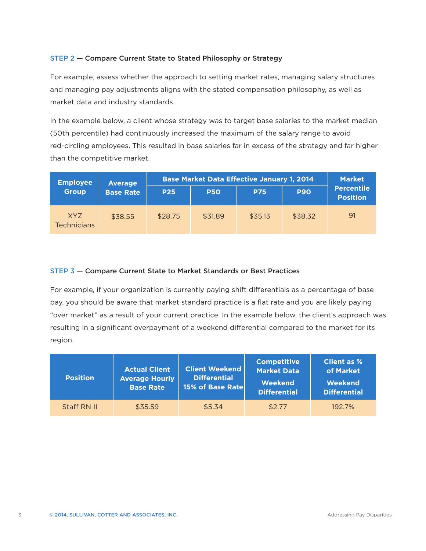#### STEP 2 — Compare Current State to Stated Philosophy or Strategy

For example, assess whether the approach to setting market rates, managing salary structures and managing pay adjustments aligns with the stated compensation philosophy, as well as market data and industry standards.

In the example below, a client whose strategy was to target base salaries to the market median (50th percentile) had continuously increased the maximum of the salary range to avoid red-circling employees. This resulted in base salaries far in excess of the strategy and far higher than the competitive market.

| <b>Employee</b>           | <b>Average</b><br><b>Base Rate</b> | <b>Base Market Data Effective January 1, 2014</b> |            |            |            | <b>Market</b>                        |
|---------------------------|------------------------------------|---------------------------------------------------|------------|------------|------------|--------------------------------------|
| <b>Group</b>              |                                    | <b>P25</b>                                        | <b>P50</b> | <b>P75</b> | <b>P90</b> | <b>Percentile</b><br><b>Position</b> |
| XY7<br><b>Technicians</b> | \$38.55                            | \$28.75                                           | \$31.89    | \$35.13    | \$38.32    | 91                                   |

#### STEP 3 — Compare Current State to Market Standards or Best Practices

For example, if your organization is currently paying shift differentials as a percentage of base pay, you should be aware that market standard practice is a flat rate and you are likely paying "over market" as a result of your current practice. In the example below, the client's approach was resulting in a significant overpayment of a weekend differential compared to the market for its region.

| <b>Position</b> | <b>Actual Client</b><br><b>Average Hourly</b><br><b>Base Rate</b> | <b>Client Weekend</b><br><b>Differential</b><br>15% of Base Rate | <b>Competitive</b><br><b>Market Data</b><br><b>Weekend</b><br><b>Differential</b> | <b>Client as %</b><br>of Market<br>Weekend<br><b>Differential</b> |
|-----------------|-------------------------------------------------------------------|------------------------------------------------------------------|-----------------------------------------------------------------------------------|-------------------------------------------------------------------|
| Staff RN II     | \$35.59                                                           | \$5.34                                                           | \$2.77                                                                            | 192.7%                                                            |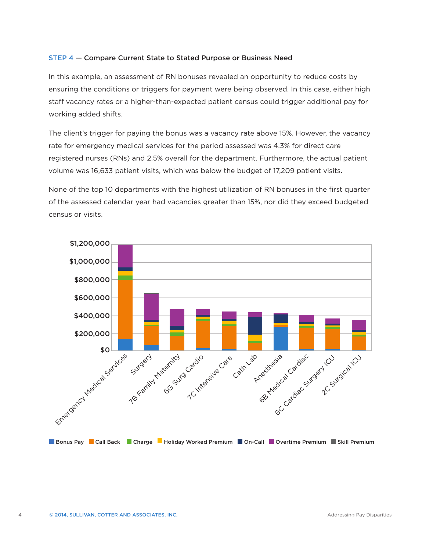#### STEP 4 — Compare Current State to Stated Purpose or Business Need

In this example, an assessment of RN bonuses revealed an opportunity to reduce costs by ensuring the conditions or triggers for payment were being observed. In this case, either high staff vacancy rates or a higher-than-expected patient census could trigger additional pay for working added shifts.

The client's trigger for paying the bonus was a vacancy rate above 15%. However, the vacancy rate for emergency medical services for the period assessed was 4.3% for direct care registered nurses (RNs) and 2.5% overall for the department. Furthermore, the actual patient volume was 16,633 patient visits, which was below the budget of 17,209 patient visits.

None of the top 10 departments with the highest utilization of RN bonuses in the first quarter of the assessed calendar year had vacancies greater than 15%, nor did they exceed budgeted census or visits.

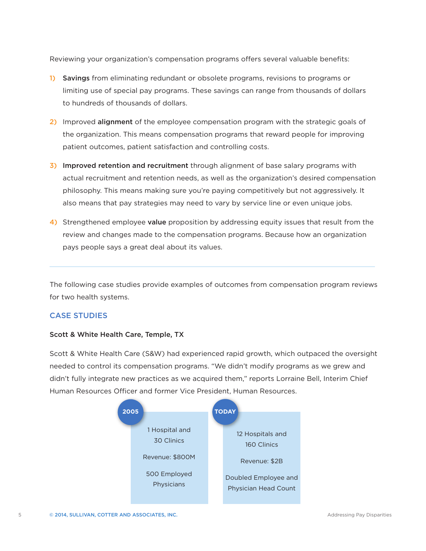Reviewing your organization's compensation programs offers several valuable benefits:

- 1) Savings from eliminating redundant or obsolete programs, revisions to programs or limiting use of special pay programs. These savings can range from thousands of dollars to hundreds of thousands of dollars.
- 2) Improved alignment of the employee compensation program with the strategic goals of the organization. This means compensation programs that reward people for improving patient outcomes, patient satisfaction and controlling costs.
- 3) Improved retention and recruitment through alignment of base salary programs with actual recruitment and retention needs, as well as the organization's desired compensation philosophy. This means making sure you're paying competitively but not aggressively. It also means that pay strategies may need to vary by service line or even unique jobs.
- 4) Strengthened employee value proposition by addressing equity issues that result from the review and changes made to the compensation programs. Because how an organization pays people says a great deal about its values.

The following case studies provide examples of outcomes from compensation program reviews for two health systems.

#### CASE STUDIES

#### Scott & White Health Care, Temple, TX

Scott & White Health Care (S&W) had experienced rapid growth, which outpaced the oversight needed to control its compensation programs. "We didn't modify programs as we grew and didn't fully integrate new practices as we acquired them," reports Lorraine Bell, Interim Chief Human Resources Officer and former Vice President, Human Resources.

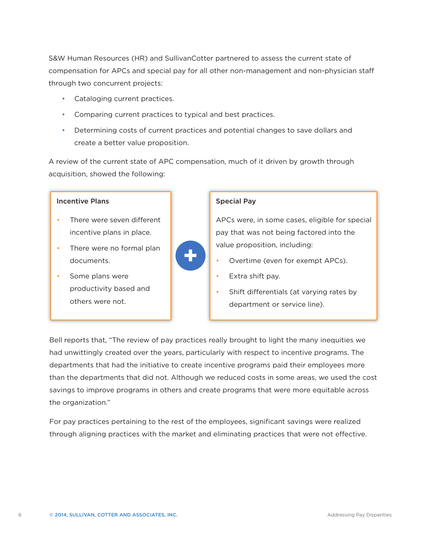S&W Human Resources (HR) and SullivanCotter partnered to assess the current state of compensation for APCs and special pay for all other non-management and non-physician staff through two concurrent projects:

- • Cataloging current practices.
- • Comparing current practices to typical and best practices.
- • Determining costs of current practices and potential changes to save dollars and create a better value proposition.

A review of the current state of APC compensation, much of it driven by growth through acquisition, showed the following:

#### Incentive Plans

- There were seven different incentive plans in place.
- There were no formal plan documents.
- Some plans were productivity based and others were not.

# **+**

#### Special Pay

APCs were, in some cases, eligible for special pay that was not being factored into the value proposition, including:

- Overtime (even for exempt APCs).
- Extra shift pay.
- Shift differentials (at varying rates by department or service line).

Bell reports that, "The review of pay practices really brought to light the many inequities we had unwittingly created over the years, particularly with respect to incentive programs. The departments that had the initiative to create incentive programs paid their employees more than the departments that did not. Although we reduced costs in some areas, we used the cost savings to improve programs in others and create programs that were more equitable across the organization."

For pay practices pertaining to the rest of the employees, significant savings were realized through aligning practices with the market and eliminating practices that were not effective.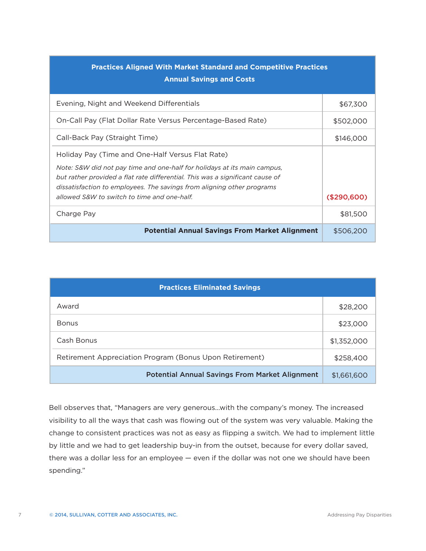| <b>Practices Aligned With Market Standard and Competitive Practices</b><br><b>Annual Savings and Costs</b>                                                                                                                                                                                                                             |             |  |  |  |
|----------------------------------------------------------------------------------------------------------------------------------------------------------------------------------------------------------------------------------------------------------------------------------------------------------------------------------------|-------------|--|--|--|
| Evening, Night and Weekend Differentials                                                                                                                                                                                                                                                                                               | \$67,300    |  |  |  |
| On-Call Pay (Flat Dollar Rate Versus Percentage-Based Rate)                                                                                                                                                                                                                                                                            | \$502,000   |  |  |  |
| Call-Back Pay (Straight Time)                                                                                                                                                                                                                                                                                                          | \$146,000   |  |  |  |
| Holiday Pay (Time and One-Half Versus Flat Rate)<br>Note: S&W did not pay time and one-half for holidays at its main campus,<br>but rather provided a flat rate differential. This was a significant cause of<br>dissatisfaction to employees. The savings from aligning other programs<br>allowed S&W to switch to time and one-half. | (\$290,600) |  |  |  |
| Charge Pay                                                                                                                                                                                                                                                                                                                             | \$81,500    |  |  |  |
| <b>Potential Annual Savings From Market Alignment</b>                                                                                                                                                                                                                                                                                  | \$506,200   |  |  |  |

| <b>Practices Eliminated Savings</b>                     |             |  |  |  |
|---------------------------------------------------------|-------------|--|--|--|
| Award                                                   | \$28,200    |  |  |  |
| <b>Bonus</b>                                            | \$23,000    |  |  |  |
| Cash Bonus                                              | \$1,352,000 |  |  |  |
| Retirement Appreciation Program (Bonus Upon Retirement) | \$258,400   |  |  |  |
| <b>Potential Annual Savings From Market Alignment</b>   | \$1,661,600 |  |  |  |

Bell observes that, "Managers are very generous…with the company's money. The increased visibility to all the ways that cash was flowing out of the system was very valuable. Making the change to consistent practices was not as easy as flipping a switch. We had to implement little by little and we had to get leadership buy-in from the outset, because for every dollar saved, there was a dollar less for an employee — even if the dollar was not one we should have been spending."